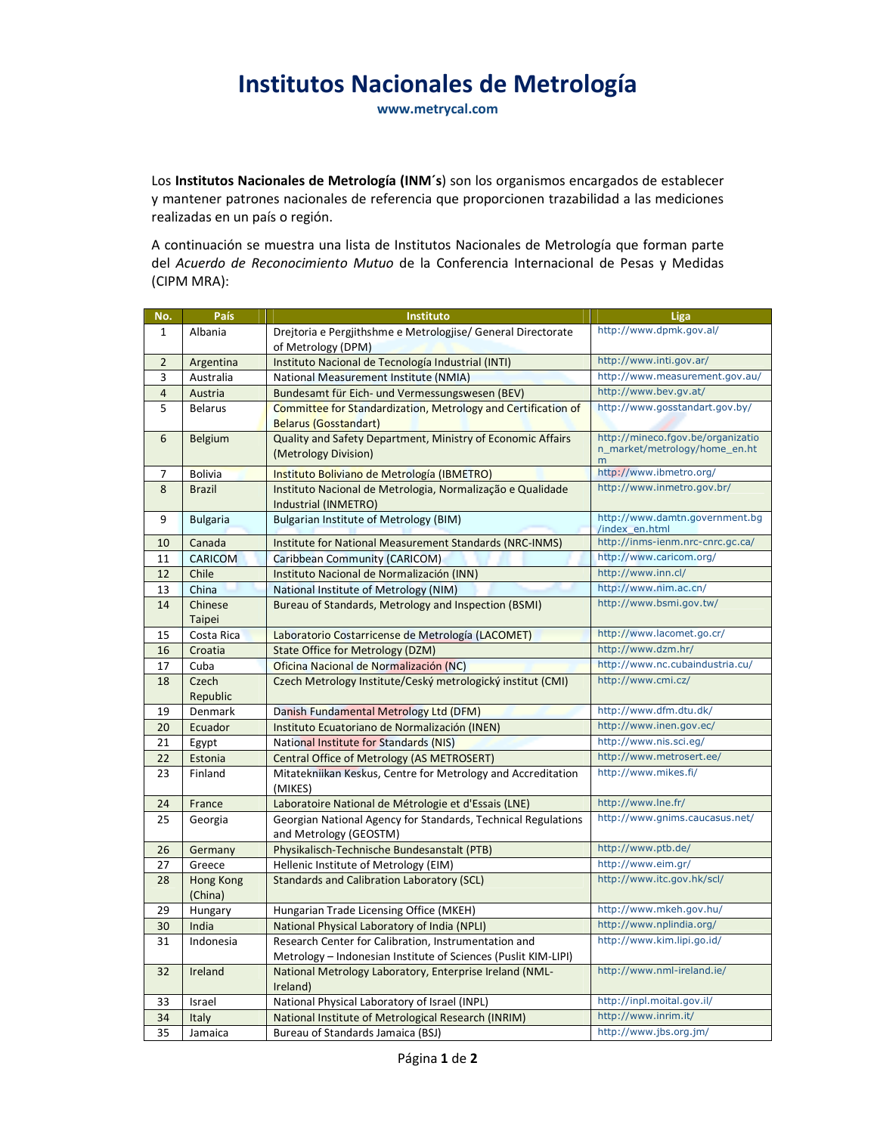## Institutos Nacionales de Metrología

www.metrycal.com

Los Institutos Nacionales de Metrología (INM's) son los organismos encargados de establecer y mantener patrones nacionales de referencia que proporcionen trazabilidad a las mediciones realizadas en un país o región.

A continuación se muestra una lista de Institutos Nacionales de Metrología que forman parte del Acuerdo de Reconocimiento Mutuo de la Conferencia Internacional de Pesas y Medidas (CIPM MRA):

| No.            | País            | Instituto                                                                                             | Liga                                               |
|----------------|-----------------|-------------------------------------------------------------------------------------------------------|----------------------------------------------------|
| $\mathbf{1}$   | Albania         | Drejtoria e Pergjithshme e Metrologjise/ General Directorate                                          | http://www.dpmk.gov.al/                            |
|                |                 | of Metrology (DPM)                                                                                    |                                                    |
| $\overline{2}$ | Argentina       | Instituto Nacional de Tecnología Industrial (INTI)                                                    | http://www.inti.gov.ar/                            |
| 3              | Australia       | National Measurement Institute (NMIA)                                                                 | http://www.measurement.gov.au/                     |
| $\overline{4}$ | Austria         | Bundesamt für Eich- und Vermessungswesen (BEV)                                                        | http://www.bev.gv.at/                              |
| 5              | <b>Belarus</b>  | Committee for Standardization, Metrology and Certification of                                         | http://www.gosstandart.gov.by/                     |
|                |                 | <b>Belarus (Gosstandart)</b>                                                                          |                                                    |
| 6              | Belgium         | Quality and Safety Department, Ministry of Economic Affairs                                           | http://mineco.fgov.be/organizatio                  |
|                |                 | (Metrology Division)                                                                                  | n_market/metrology/home_en.ht<br>m                 |
| 7              | <b>Bolivia</b>  | Instituto Boliviano de Metrología (IBMETRO)                                                           | http://www.ibmetro.org/                            |
| 8              | <b>Brazil</b>   | Instituto Nacional de Metrologia, Normalização e Qualidade                                            | http://www.inmetro.gov.br/                         |
|                |                 | Industrial (INMETRO)                                                                                  |                                                    |
| 9              | <b>Bulgaria</b> | <b>Bulgarian Institute of Metrology (BIM)</b>                                                         | http://www.damtn.government.bg                     |
|                |                 |                                                                                                       | /index_en.html<br>http://inms-ienm.nrc-cnrc.gc.ca/ |
| 10             | Canada          | Institute for National Measurement Standards (NRC-INMS)                                               | http://www.caricom.org/                            |
| 11             | <b>CARICOM</b>  | Caribbean Community (CARICOM)                                                                         | http://www.inn.cl/                                 |
| 12             | Chile           | Instituto Nacional de Normalización (INN)                                                             | http://www.nim.ac.cn/                              |
| 13             | China           | National Institute of Metrology (NIM)                                                                 |                                                    |
| 14             | Chinese         | Bureau of Standards, Metrology and Inspection (BSMI)                                                  | http://www.bsmi.gov.tw/                            |
|                | <b>Taipei</b>   |                                                                                                       | http://www.lacomet.go.cr/                          |
| 15             | Costa Rica      | Laboratorio Costarricense de Metrología (LACOMET)                                                     | http://www.dzm.hr/                                 |
| 16<br>17       | Croatia         | <b>State Office for Metrology (DZM)</b>                                                               | http://www.nc.cubaindustria.cu/                    |
| 18             | Cuba<br>Czech   | Oficina Nacional de Normalización (NC)<br>Czech Metrology Institute/Ceský metrologický institut (CMI) | http://www.cmi.cz/                                 |
|                | Republic        |                                                                                                       |                                                    |
| 19             | Denmark         | Danish Fundamental Metrology Ltd (DFM)                                                                | http://www.dfm.dtu.dk/                             |
| 20             | Ecuador         | Instituto Ecuatoriano de Normalización (INEN)                                                         | http://www.inen.gov.ec/                            |
| 21             | Egypt           | <b>National Institute for Standards (NIS)</b>                                                         | http://www.nis.sci.eg/                             |
| 22             | Estonia         | Central Office of Metrology (AS METROSERT)                                                            | http://www.metrosert.ee/                           |
| 23             | Finland         | Mitatekniikan Keskus, Centre for Metrology and Accreditation                                          | http://www.mikes.fi/                               |
|                |                 | (MIKES)                                                                                               |                                                    |
| 24             | France          | Laboratoire National de Métrologie et d'Essais (LNE)                                                  | http://www.lne.fr/                                 |
| 25             | Georgia         | Georgian National Agency for Standards, Technical Regulations                                         | http://www.gnims.caucasus.net/                     |
|                |                 | and Metrology (GEOSTM)                                                                                |                                                    |
| 26             | Germany         | Physikalisch-Technische Bundesanstalt (PTB)                                                           | http://www.ptb.de/                                 |
| 27             | Greece          | Hellenic Institute of Metrology (EIM)                                                                 | http://www.eim.gr/                                 |
| 28             | Hong Kong       | Standards and Calibration Laboratory (SCL)                                                            | http://www.itc.gov.hk/scl/                         |
|                | (China)         |                                                                                                       |                                                    |
| 29             | Hungary         | Hungarian Trade Licensing Office (MKEH)                                                               | http://www.mkeh.gov.hu/                            |
| 30             | India           | National Physical Laboratory of India (NPLI)                                                          | http://www.nplindia.org/                           |
| 31             | Indonesia       | Research Center for Calibration, Instrumentation and                                                  | http://www.kim.lipi.go.id/                         |
|                |                 | Metrology - Indonesian Institute of Sciences (Puslit KIM-LIPI)                                        |                                                    |
| 32             | Ireland         | National Metrology Laboratory, Enterprise Ireland (NML-                                               | http://www.nml-ireland.ie/                         |
|                |                 | Ireland)                                                                                              |                                                    |
| 33             | Israel          | National Physical Laboratory of Israel (INPL)                                                         | http://inpl.moital.gov.il/                         |
| 34             | Italy           | National Institute of Metrological Research (INRIM)                                                   | http://www.inrim.it/                               |
| 35             | Jamaica         | Bureau of Standards Jamaica (BSJ)                                                                     | http://www.jbs.org.jm/                             |